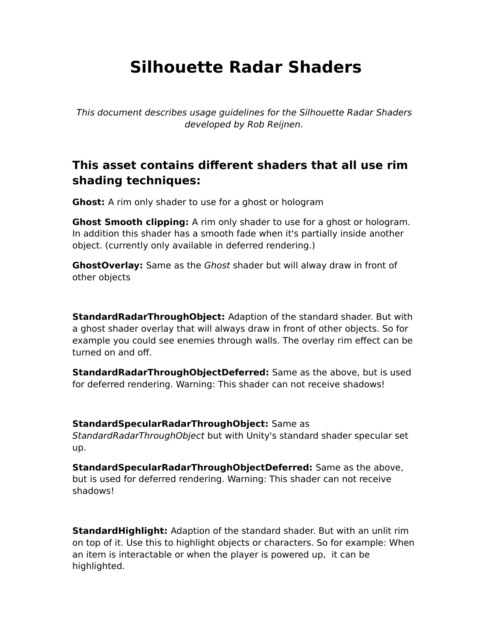# **Silhouette Radar Shaders**

This document describes usage guidelines for the Silhouette Radar Shaders developed by Rob Reijnen.

## **This asset contains different shaders that all use rim shading techniques:**

**Ghost:** A rim only shader to use for a ghost or hologram

**Ghost Smooth clipping:** A rim only shader to use for a ghost or hologram. In addition this shader has a smooth fade when it's partially inside another object. (currently only available in deferred rendering.)

**GhostOverlay:** Same as the Ghost shader but will alway draw in front of other objects

**StandardRadarThroughObject:** Adaption of the standard shader. But with a ghost shader overlay that will always draw in front of other objects. So for example you could see enemies through walls. The overlay rim effect can be turned on and off.

**StandardRadarThroughObjectDeferred:** Same as the above, but is used for deferred rendering. Warning: This shader can not receive shadows!

**StandardSpecularRadarThroughObject:** Same as

StandardRadarThroughObject but with Unity's standard shader specular set up.

**StandardSpecularRadarThroughObjectDeferred:** Same as the above, but is used for deferred rendering. Warning: This shader can not receive shadows!

**StandardHighlight:** Adaption of the standard shader. But with an unlit rim on top of it. Use this to highlight objects or characters. So for example: When an item is interactable or when the player is powered up, it can be highlighted.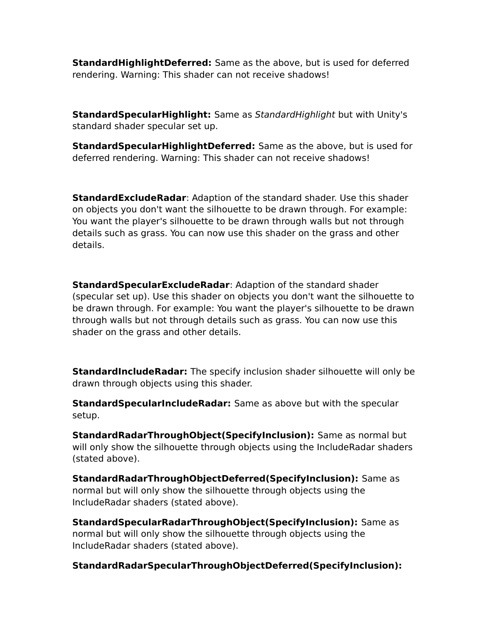**StandardHighlightDeferred:** Same as the above, but is used for deferred rendering. Warning: This shader can not receive shadows!

**StandardSpecularHighlight:** Same as StandardHighlight but with Unity's standard shader specular set up.

**StandardSpecularHighlightDeferred:** Same as the above, but is used for deferred rendering. Warning: This shader can not receive shadows!

**StandardExcludeRadar**: Adaption of the standard shader. Use this shader on objects you don't want the silhouette to be drawn through. For example: You want the player's silhouette to be drawn through walls but not through details such as grass. You can now use this shader on the grass and other details.

**StandardSpecularExcludeRadar**: Adaption of the standard shader (specular set up). Use this shader on objects you don't want the silhouette to be drawn through. For example: You want the player's silhouette to be drawn through walls but not through details such as grass. You can now use this shader on the grass and other details.

**StandardIncludeRadar:** The specify inclusion shader silhouette will only be drawn through objects using this shader.

**StandardSpecularIncludeRadar:** Same as above but with the specular setup.

**StandardRadarThroughObject(SpecifyInclusion):** Same as normal but will only show the silhouette through objects using the IncludeRadar shaders (stated above).

**StandardRadarThroughObjectDeferred(SpecifyInclusion):** Same as normal but will only show the silhouette through objects using the IncludeRadar shaders (stated above).

**StandardSpecularRadarThroughObject(SpecifyInclusion):** Same as normal but will only show the silhouette through objects using the IncludeRadar shaders (stated above).

**StandardRadarSpecularThroughObjectDeferred(SpecifyInclusion):**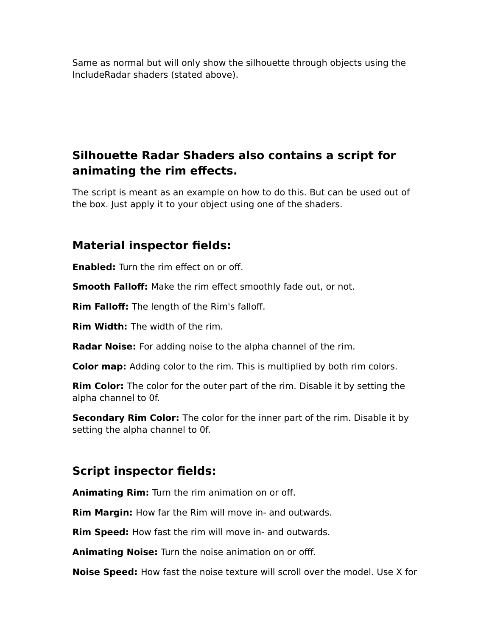Same as normal but will only show the silhouette through objects using the IncludeRadar shaders (stated above).

## **Silhouette Radar Shaders also contains a script for animating the rim effects.**

The script is meant as an example on how to do this. But can be used out of the box. Just apply it to your object using one of the shaders.

#### **Material inspector fields:**

**Enabled:** Turn the rim effect on or off.

**Smooth Falloff:** Make the rim effect smoothly fade out, or not.

**Rim Falloff:** The length of the Rim's falloff.

**Rim Width:** The width of the rim.

**Radar Noise:** For adding noise to the alpha channel of the rim.

**Color map:** Adding color to the rim. This is multiplied by both rim colors.

**Rim Color:** The color for the outer part of the rim. Disable it by setting the alpha channel to 0f.

**Secondary Rim Color:** The color for the inner part of the rim. Disable it by setting the alpha channel to 0f.

### **Script inspector fields:**

**Animating Rim:** Turn the rim animation on or off.

**Rim Margin:** How far the Rim will move in- and outwards.

**Rim Speed:** How fast the rim will move in- and outwards.

**Animating Noise:** Turn the noise animation on or offf.

**Noise Speed:** How fast the noise texture will scroll over the model. Use X for